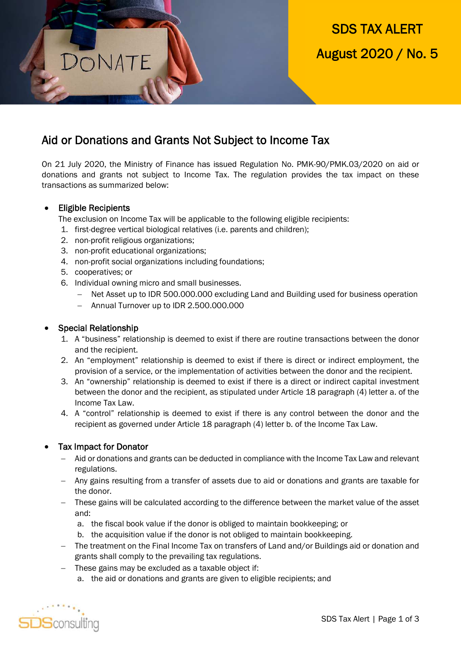# SDS TAX ALERT August 2020 / No. 5

# Aid or Donations and Grants Not Subject to Income Tax

On 21 July 2020, the Ministry of Finance has issued Regulation No. PMK-90/PMK.03/2020 on aid or donations and grants not subject to Income Tax. The regulation provides the tax impact on these transactions as summarized below:

## • Eligible Recipients

The exclusion on Income Tax will be applicable to the following eligible recipients:

- 1. first-degree vertical biological relatives (i.e. parents and children);
- 2. non-profit religious organizations;

ONATE

- 3. non-profit educational organizations;
- 4. non-profit social organizations including foundations;
- 5. cooperatives; or
- 6. Individual owning micro and small businesses.
	- Net Asset up to IDR 500.000.000 excluding Land and Building used for business operation
	- Annual Turnover up to IDR 2.500.000.000

#### Special Relationship

- 1. A "business" relationship is deemed to exist if there are routine transactions between the donor and the recipient.
- 2. An "employment" relationship is deemed to exist if there is direct or indirect employment, the provision of a service, or the implementation of activities between the donor and the recipient.
- 3. An "ownership" relationship is deemed to exist if there is a direct or indirect capital investment between the donor and the recipient, as stipulated under Article 18 paragraph (4) letter a. of the Income Tax Law.
- 4. A "control" relationship is deemed to exist if there is any control between the donor and the recipient as governed under Article 18 paragraph (4) letter b. of the Income Tax Law.

#### Tax Impact for Donator

- Aid or donations and grants can be deducted in compliance with the Income Tax Law and relevant regulations.
- Any gains resulting from a transfer of assets due to aid or donations and grants are taxable for the donor.
- These gains will be calculated according to the difference between the market value of the asset and:
	- a. the fiscal book value if the donor is obliged to maintain bookkeeping; or
	- b. the acquisition value if the donor is not obliged to maintain bookkeeping.
- The treatment on the Final Income Tax on transfers of Land and/or Buildings aid or donation and grants shall comply to the prevailing tax regulations.
- These gains may be excluded as a taxable object if:
	- a. the aid or donations and grants are given to eligible recipients; and

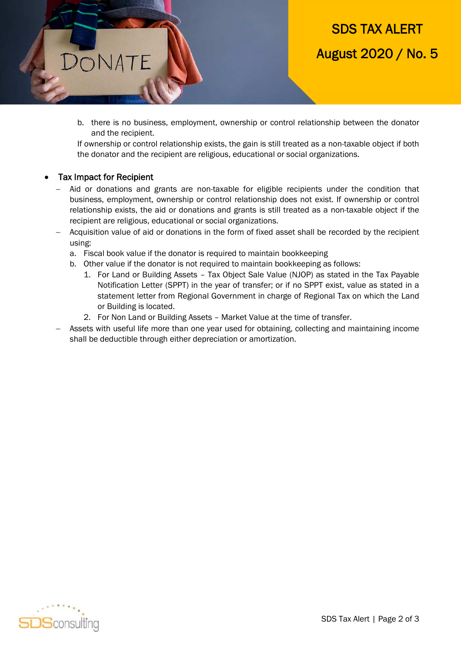

b. there is no business, employment, ownership or control relationship between the donator and the recipient.

If ownership or control relationship exists, the gain is still treated as a non-taxable object if both the donator and the recipient are religious, educational or social organizations.

#### Tax Impact for Recipient

DONATE

- Aid or donations and grants are non-taxable for eligible recipients under the condition that business, employment, ownership or control relationship does not exist. If ownership or control relationship exists, the aid or donations and grants is still treated as a non-taxable object if the recipient are religious, educational or social organizations.
- Acquisition value of aid or donations in the form of fixed asset shall be recorded by the recipient using:
	- a. Fiscal book value if the donator is required to maintain bookkeeping
	- b. Other value if the donator is not required to maintain bookkeeping as follows:
		- 1. For Land or Building Assets Tax Object Sale Value (NJOP) as stated in the Tax Payable Notification Letter (SPPT) in the year of transfer; or if no SPPT exist, value as stated in a statement letter from Regional Government in charge of Regional Tax on which the Land or Building is located.
		- 2. For Non Land or Building Assets Market Value at the time of transfer.
- Assets with useful life more than one year used for obtaining, collecting and maintaining income shall be deductible through either depreciation or amortization.